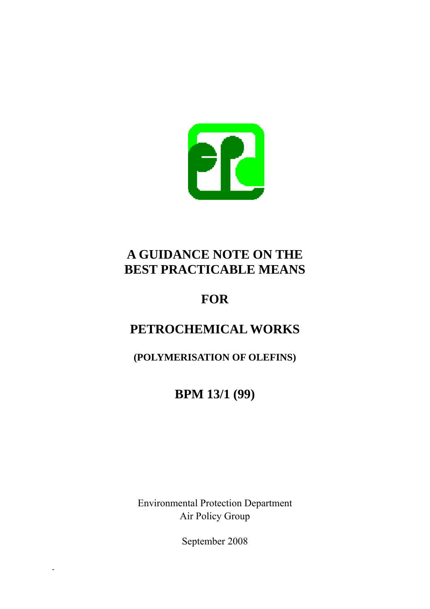

# **A GUIDANCE NOTE ON THE BEST PRACTICABLE MEANS**

# **FOR**

# **PETROCHEMICAL WORKS**

**(POLYMERISATION OF OLEFINS)** 

**BPM 13/1 (99)** 

Environmental Protection Department Air Policy Group

September 2008

-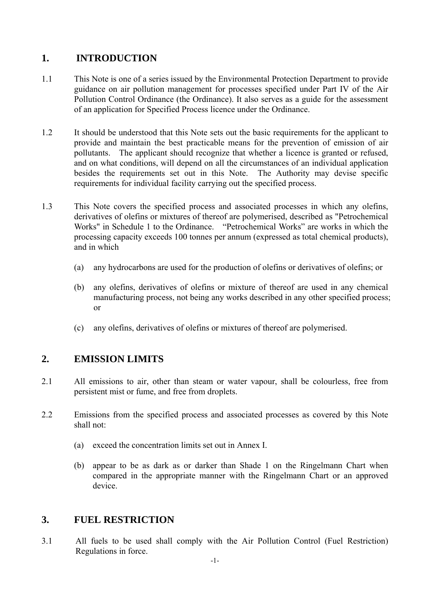#### **1. INTRODUCTION**

- 1.1 This Note is one of a series issued by the Environmental Protection Department to provide guidance on air pollution management for processes specified under Part IV of the Air Pollution Control Ordinance (the Ordinance). It also serves as a guide for the assessment of an application for Specified Process licence under the Ordinance.
- 1.2 It should be understood that this Note sets out the basic requirements for the applicant to provide and maintain the best practicable means for the prevention of emission of air pollutants. The applicant should recognize that whether a licence is granted or refused, and on what conditions, will depend on all the circumstances of an individual application besides the requirements set out in this Note. The Authority may devise specific requirements for individual facility carrying out the specified process.
- 1.3 This Note covers the specified process and associated processes in which any olefins, derivatives of olefins or mixtures of thereof are polymerised, described as "Petrochemical Works" in Schedule 1 to the Ordinance. "Petrochemical Works" are works in which the processing capacity exceeds 100 tonnes per annum (expressed as total chemical products), and in which
	- (a) any hydrocarbons are used for the production of olefins or derivatives of olefins; or
	- (b) any olefins, derivatives of olefins or mixture of thereof are used in any chemical manufacturing process, not being any works described in any other specified process; or
	- (c) any olefins, derivatives of olefins or mixtures of thereof are polymerised.

#### **2. EMISSION LIMITS**

- 2.1 All emissions to air, other than steam or water vapour, shall be colourless, free from persistent mist or fume, and free from droplets.
- 2.2 Emissions from the specified process and associated processes as covered by this Note shall not:
	- (a) exceed the concentration limits set out in Annex I.
	- (b) appear to be as dark as or darker than Shade 1 on the Ringelmann Chart when compared in the appropriate manner with the Ringelmann Chart or an approved device.

#### **3. FUEL RESTRICTION**

3.1 All fuels to be used shall comply with the Air Pollution Control (Fuel Restriction) Regulations in force.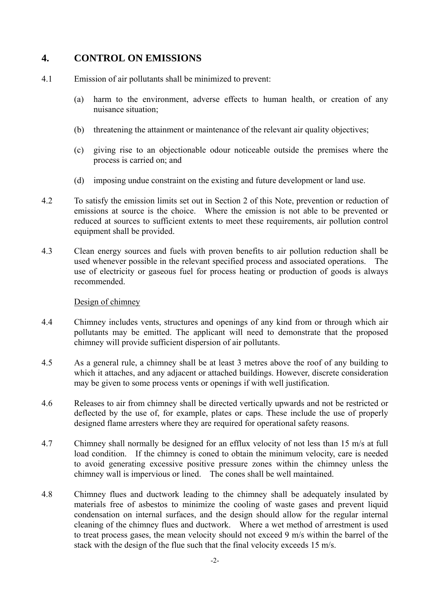#### **4. CONTROL ON EMISSIONS**

- 4.1 Emission of air pollutants shall be minimized to prevent:
	- (a) harm to the environment, adverse effects to human health, or creation of any nuisance situation;
	- (b) threatening the attainment or maintenance of the relevant air quality objectives;
	- (c) giving rise to an objectionable odour noticeable outside the premises where the process is carried on; and
	- (d) imposing undue constraint on the existing and future development or land use.
- 4.2 To satisfy the emission limits set out in Section 2 of this Note, prevention or reduction of emissions at source is the choice. Where the emission is not able to be prevented or reduced at sources to sufficient extents to meet these requirements, air pollution control equipment shall be provided.
- 4.3 Clean energy sources and fuels with proven benefits to air pollution reduction shall be used whenever possible in the relevant specified process and associated operations. The use of electricity or gaseous fuel for process heating or production of goods is always recommended.

#### Design of chimney

- 4.4 Chimney includes vents, structures and openings of any kind from or through which air pollutants may be emitted. The applicant will need to demonstrate that the proposed chimney will provide sufficient dispersion of air pollutants.
- 4.5 As a general rule, a chimney shall be at least 3 metres above the roof of any building to which it attaches, and any adjacent or attached buildings. However, discrete consideration may be given to some process vents or openings if with well justification.
- 4.6 Releases to air from chimney shall be directed vertically upwards and not be restricted or deflected by the use of, for example, plates or caps. These include the use of properly designed flame arresters where they are required for operational safety reasons.
- chimney wall is impervious or lined. The cones shall be well maintained. 4.7 Chimney shall normally be designed for an efflux velocity of not less than 15 m/s at full load condition. If the chimney is coned to obtain the minimum velocity, care is needed to avoid generating excessive positive pressure zones within the chimney unless the
- 4.8 Chimney flues and ductwork leading to the chimney shall be adequately insulated by materials free of asbestos to minimize the cooling of waste gases and prevent liquid condensation on internal surfaces, and the design should allow for the regular internal cleaning of the chimney flues and ductwork. Where a wet method of arrestment is used to treat process gases, the mean velocity should not exceed 9 m/s within the barrel of the stack with the design of the flue such that the final velocity exceeds 15 m/s.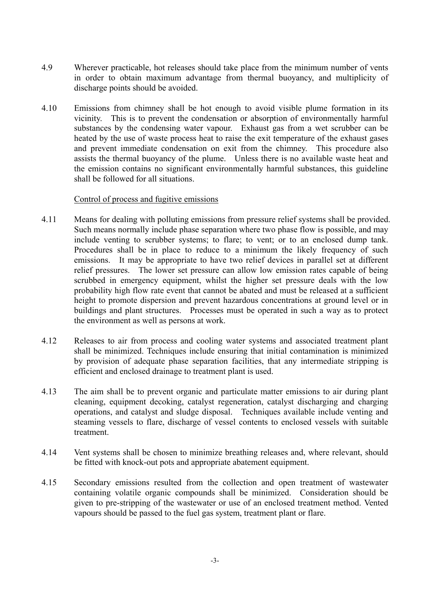- 4.9 Wherever practicable, hot releases should take place from the minimum number of vents in order to obtain maximum advantage from thermal buoyancy, and multiplicity of discharge points should be avoided.
- 4.10 Emissions from chimney shall be hot enough to avoid visible plume formation in its vicinity. This is to prevent the condensation or absorption of environmentally harmful substances by the condensing water vapour. Exhaust gas from a wet scrubber can be heated by the use of waste process heat to raise the exit temperature of the exhaust gases and prevent immediate condensation on exit from the chimney. This procedure also assists the thermal buoyancy of the plume. Unless there is no available waste heat and the emission contains no significant environmentally harmful substances, this guideline shall be followed for all situations.

#### Control of process and fugitive emissions

- 4.11 Means for dealing with polluting emissions from pressure relief systems shall be provided. Such means normally include phase separation where two phase flow is possible, and may include venting to scrubber systems; to flare; to vent; or to an enclosed dump tank. Procedures shall be in place to reduce to a minimum the likely frequency of such emissions. It may be appropriate to have two relief devices in parallel set at different relief pressures. The lower set pressure can allow low emission rates capable of being scrubbed in emergency equipment, whilst the higher set pressure deals with the low probability high flow rate event that cannot be abated and must be released at a sufficient height to promote dispersion and prevent hazardous concentrations at ground level or in buildings and plant structures. Processes must be operated in such a way as to protect the environment as well as persons at work.
- 4.12 Releases to air from process and cooling water systems and associated treatment plant shall be minimized. Techniques include ensuring that initial contamination is minimized by provision of adequate phase separation facilities, that any intermediate stripping is efficient and enclosed drainage to treatment plant is used.
- 4.13 The aim shall be to prevent organic and particulate matter emissions to air during plant cleaning, equipment decoking, catalyst regeneration, catalyst discharging and charging operations, and catalyst and sludge disposal. Techniques available include venting and steaming vessels to flare, discharge of vessel contents to enclosed vessels with suitable treatment.
- 4.14 Vent systems shall be chosen to minimize breathing releases and, where relevant, should be fitted with knock-out pots and appropriate abatement equipment.
- 4.15 Secondary emissions resulted from the collection and open treatment of wastewater containing volatile organic compounds shall be minimized. Consideration should be given to pre-stripping of the wastewater or use of an enclosed treatment method. Vented vapours should be passed to the fuel gas system, treatment plant or flare.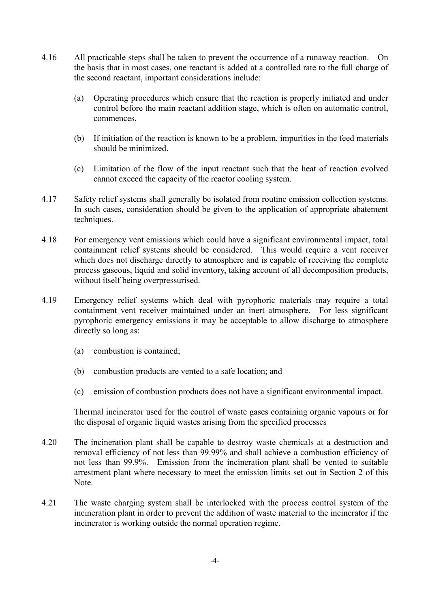- 4.16 All practicable steps shall be taken to prevent the occurrence of a runaway reaction. On the basis that in most cases, one reactant is added at a controlled rate to the full charge of the second reactant, important considerations include:
	- (a) Operating procedures which ensure that the reaction is properly initiated and under control before the main reactant addition stage, which is often on automatic control, commences.
	- (b) If initiation of the reaction is known to be a problem, impurities in the feed materials should be minimized.
	- (c) Limitation of the flow of the input reactant such that the heat of reaction evolved cannot exceed the capacity of the reactor cooling system.
- 4.17 Safety relief systems shall generally be isolated from routine emission collection systems. In such cases, consideration should be given to the application of appropriate abatement techniques.
- 4.18 For emergency vent emissions which could have a significant environmental impact, total containment relief systems should be considered. This would require a vent receiver which does not discharge directly to atmosphere and is capable of receiving the complete process gaseous, liquid and solid inventory, taking account of all decomposition products, without itself being overpressurised.
- 4.19 Emergency relief systems which deal with pyrophoric materials may require a total containment vent receiver maintained under an inert atmosphere. For less significant pyrophoric emergency emissions it may be acceptable to allow discharge to atmosphere directly so long as:
	- (a) combustion is contained;
	- (b) combustion products are vented to a safe location; and
	- (c) emission of combustion products does not have a significant environmental impact.

Thermal incinerator used for the control of waste gases containing organic vapours or for the disposal of organic liquid wastes arising from the specified processes

- 4.20 The incineration plant shall be capable to destroy waste chemicals at a destruction and removal efficiency of not less than 99.99% and shall achieve a combustion efficiency of not less than 99.9%. Emission from the incineration plant shall be vented to suitable arrestment plant where necessary to meet the emission limits set out in Section 2 of this Note.
- 4.21 The waste charging system shall be interlocked with the process control system of the incineration plant in order to prevent the addition of waste material to the incinerator if the incinerator is working outside the normal operation regime.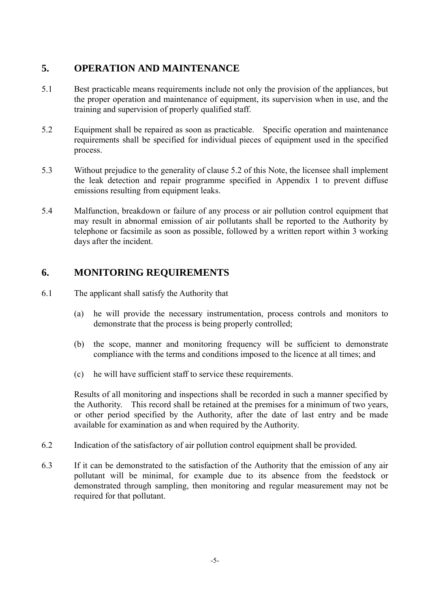#### **5. OPERATION AND MAINTENANCE**

- 5.1 Best practicable means requirements include not only the provision of the appliances, but the proper operation and maintenance of equipment, its supervision when in use, and the training and supervision of properly qualified staff.
- 5.2 Equipment shall be repaired as soon as practicable. Specific operation and maintenance requirements shall be specified for individual pieces of equipment used in the specified process.
- 5.3 Without prejudice to the generality of clause 5.2 of this Note, the licensee shall implement the leak detection and repair programme specified in Appendix 1 to prevent diffuse emissions resulting from equipment leaks.
- 5.4 Malfunction, breakdown or failure of any process or air pollution control equipment that may result in abnormal emission of air pollutants shall be reported to the Authority by telephone or facsimile as soon as possible, followed by a written report within 3 working days after the incident.

### **6. MONITORING REQUIREMENTS**

- 6.1 The applicant shall satisfy the Authority that
	- (a) he will provide the necessary instrumentation, process controls and monitors to demonstrate that the process is being properly controlled;
	- (b) the scope, manner and monitoring frequency will be sufficient to demonstrate compliance with the terms and conditions imposed to the licence at all times; and
	- (c) he will have sufficient staff to service these requirements.

 the Authority. This record shall be retained at the premises for a minimum of two years, Results of all monitoring and inspections shall be recorded in such a manner specified by or other period specified by the Authority, after the date of last entry and be made available for examination as and when required by the Authority.

- 6.2 Indication of the satisfactory of air pollution control equipment shall be provided.
- 6.3 If it can be demonstrated to the satisfaction of the Authority that the emission of any air pollutant will be minimal, for example due to its absence from the feedstock or demonstrated through sampling, then monitoring and regular measurement may not be required for that pollutant.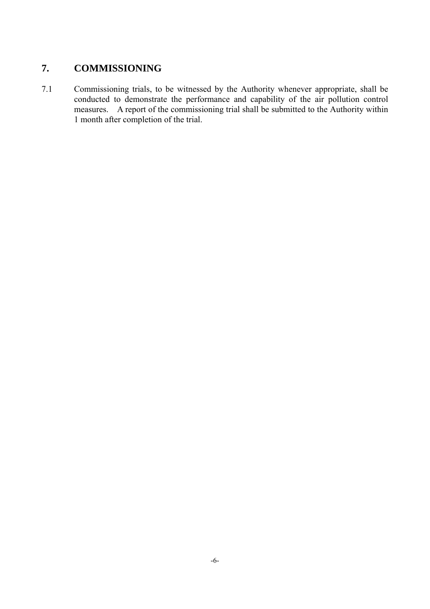## **7. COMMISSIONING**

7.1 Commissioning trials, to be witnessed by the Authority whenever appropriate, shall be conducted to demonstrate the performance and capability of the air pollution control measures. A report of the commissioning trial shall be submitted to the Authority within 1 month after completion of the trial.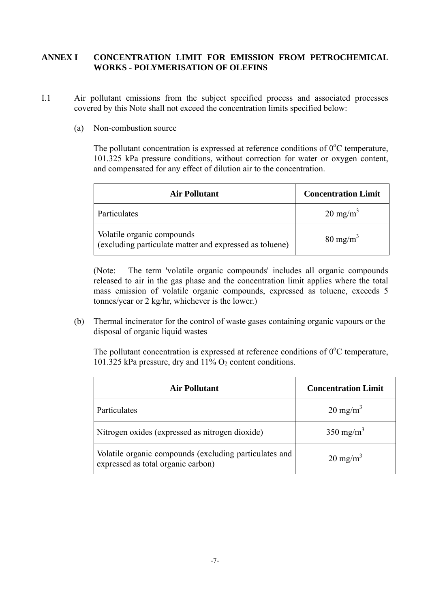#### **ANNEX I CONCENTRATION LIMIT FOR EMISSION FROM PETROCHEMICAL WORKS - POLYMERISATION OF OLEFINS**

- I.1 Air pollutant emissions from the subject specified process and associated processes covered by this Note shall not exceed the concentration limits specified below:
	- (a) Non-combustion source

The pollutant concentration is expressed at reference conditions of  $0^{\circ}$ C temperature, 101.325 kPa pressure conditions, without correction for water or oxygen content, and compensated for any effect of dilution air to the concentration.

| <b>Air Pollutant</b>                                                                  | <b>Concentration Limit</b> |
|---------------------------------------------------------------------------------------|----------------------------|
| Particulates                                                                          | $20 \text{ mg/m}^3$        |
| Volatile organic compounds<br>(excluding particulate matter and expressed as toluene) | $80 \text{ mg/m}^3$        |

(Note: The term 'volatile organic compounds' includes all organic compounds released to air in the gas phase and the concentration limit applies where the total mass emission of volatile organic compounds, expressed as toluene, exceeds 5 tonnes/year or 2 kg/hr, whichever is the lower.)

(b) Thermal incinerator for the control of waste gases containing organic vapours or the disposal of organic liquid wastes

The pollutant concentration is expressed at reference conditions of  $0^{\circ}$ C temperature, 101.325 kPa pressure, dry and  $11\%$  O<sub>2</sub> content conditions.

| <b>Air Pollutant</b>                                                                         | <b>Concentration Limit</b> |
|----------------------------------------------------------------------------------------------|----------------------------|
| Particulates                                                                                 | $20 \text{ mg/m}^3$        |
| Nitrogen oxides (expressed as nitrogen dioxide)                                              | $350 \text{ mg/m}^3$       |
| Volatile organic compounds (excluding particulates and<br>expressed as total organic carbon) | $20 \text{ mg/m}^3$        |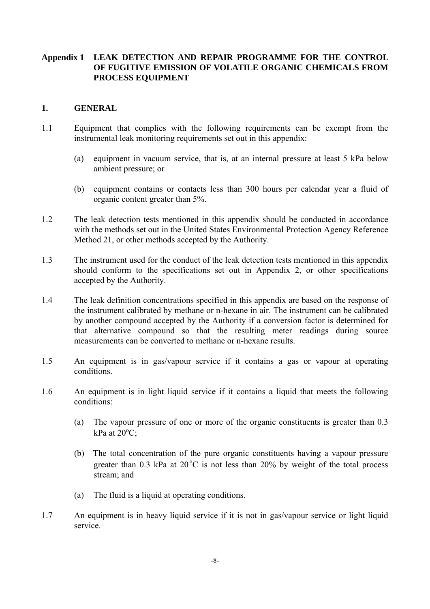# **Appendix 1 LEAK DETECTION AND REPAIR PROGRAMME FOR THE CONTROL PROCESS EQUIPMENT 1. GENERAL OF FUGITIVE EMISSION OF VOLATILE ORGANIC CHEMICALS FROM**

- 1.1 Equipment that complies with the following requirements can be exempt from the instrumental leak monitoring requirements set out in this appendix:
	- ambient pressure; or (a) equipment in vacuum service, that is, at an internal pressure at least 5 kPa below
	- (b) equipment contains or contacts less than 300 hours per calendar year a fluid of organic content greater than 5%.
- 1.2 The leak detection tests mentioned in this appendix should be conducted in accordance with the methods set out in the United States Environmental Protection Agency Reference Method 21, or other methods accepted by the Authority.
- 1.3 The instrument used for the conduct of the leak detection tests mentioned in this appendix should conform to the specifications set out in Appendix 2, or other specifications accepted by the Authority.
- 1.4 The leak definition concentrations specified in this appendix are based on the response of the instrument calibrated by methane or n-hexane in air. The instrument can be calibrated by another compound accepted by the Authority if a conversion factor is determined for that alternative compound so that the resulting meter readings during source measurements can be converted to methane or n-hexane results.
- 1.5 An equipment is in gas/vapour service if it contains a gas or vapour at operating conditions.
- 1.6 An equipment is in light liquid service if it contains a liquid that meets the following conditions:
	- (a) The vapour pressure of one or more of the organic constituents is greater than 0.3 kPa at  $20^{\circ}$ C;
	- (b) The total concentration of the pure organic constituents having a vapour pressure greater than  $0.3$  kPa at  $20^{\circ}$ C is not less than  $20\%$  by weight of the total process stream; and
	- (a) The fluid is a liquid at operating conditions.
- 1.7 An equipment is in heavy liquid service if it is not in gas/vapour service or light liquid service.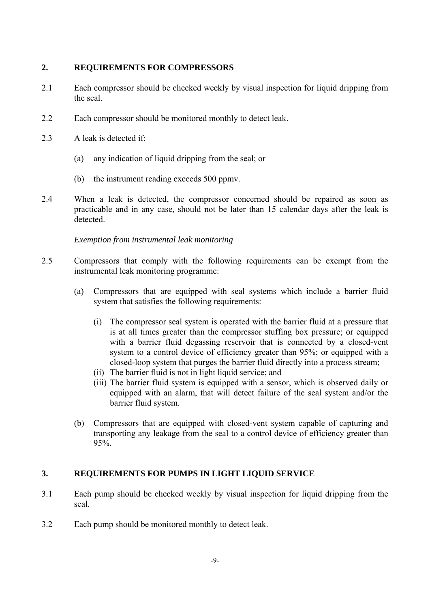#### **2. REQUIREMENTS FOR COMPRESSORS**

- 2.1 Each compressor should be checked weekly by visual inspection for liquid dripping from the seal.
- 2.2 Each compressor should be monitored monthly to detect leak.
- 2.3 A leak is detected if:
	- (a) any indication of liquid dripping from the seal; or
	- (b) the instrument reading exceeds 500 ppmv.
- 2.4 When a leak is detected, the compressor concerned should be repaired as soon as practicable and in any case, should not be later than 15 calendar days after the leak is detected.

#### *Exemption from instrumental leak monitoring*

- 2.5 Compressors that comply with the following requirements can be exempt from the instrumental leak monitoring programme:
	- (a) Compressors that are equipped with seal systems which include a barrier fluid system that satisfies the following requirements:
		- (i) The compressor seal system is operated with the barrier fluid at a pressure that is at all times greater than the compressor stuffing box pressure; or equipped with a barrier fluid degassing reservoir that is connected by a closed-vent system to a control device of efficiency greater than 95%; or equipped with a closed-loop system that purges the barrier fluid directly into a process stream;
		- (ii) The barrier fluid is not in light liquid service; and
		- (iii) The barrier fluid system is equipped with a sensor, which is observed daily or equipped with an alarm, that will detect failure of the seal system and/or the barrier fluid system.
	- (b) Compressors that are equipped with closed-vent system capable of capturing and transporting any leakage from the seal to a control device of efficiency greater than 95%.

#### $\overline{3}$ . **3. REQUIREMENTS FOR PUMPS IN LIGHT LIQUID SERVICE**

- 3.1 Each pump should be checked weekly by visual inspection for liquid dripping from the seal.
- 3.2 Each pump should be monitored monthly to detect leak.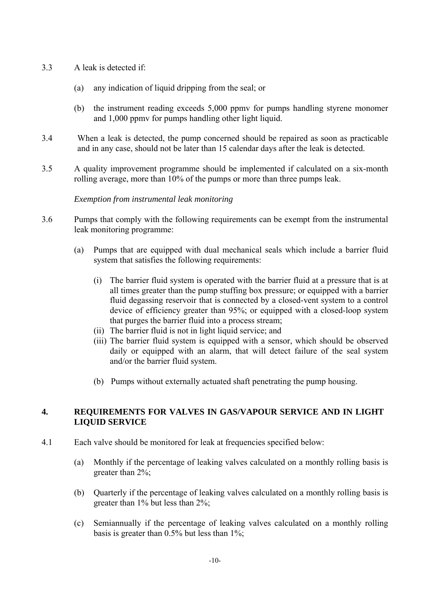- 3.3 A leak is detected if:
	- (a) any indication of liquid dripping from the seal; or
	- (b) the instrument reading exceeds 5,000 ppmv for pumps handling styrene monomer and 1,000 ppmv for pumps handling other light liquid.
- 3.4 When a leak is detected, the pump concerned should be repaired as soon as practicable and in any case, should not be later than 15 calendar days after the leak is detected.
- 3.5 A quality improvement programme should be implemented if calculated on a six-month rolling average, more than 10% of the pumps or more than three pumps leak.

#### *Exemption from instrumental leak monitoring*

- 3.6 Pumps that comply with the following requirements can be exempt from the instrumental leak monitoring programme:
	- (a) Pumps that are equipped with dual mechanical seals which include a barrier fluid system that satisfies the following requirements:
		- (i) The barrier fluid system is operated with the barrier fluid at a pressure that is at all times greater than the pump stuffing box pressure; or equipped with a barrier fluid degassing reservoir that is connected by a closed-vent system to a control device of efficiency greater than 95%; or equipped with a closed-loop system that purges the barrier fluid into a process stream;
		- (ii) The barrier fluid is not in light liquid service; and
		- (iii) The barrier fluid system is equipped with a sensor, which should be observed daily or equipped with an alarm, that will detect failure of the seal system and/or the barrier fluid system.
		- (b) Pumps without externally actuated shaft penetrating the pump housing.

#### $\overline{4}$ . **LIQUID SERVICE 4. REQUIREMENTS FOR VALVES IN GAS/VAPOUR SERVICE AND IN LIGHT**

- 4.1 Each valve should be monitored for leak at frequencies specified below:
	- (a) Monthly if the percentage of leaking valves calculated on a monthly rolling basis is greater than 2%;
	- (b) Quarterly if the percentage of leaking valves calculated on a monthly rolling basis is greater than 1% but less than 2%;
	- (c) Semiannually if the percentage of leaking valves calculated on a monthly rolling basis is greater than 0.5% but less than 1%;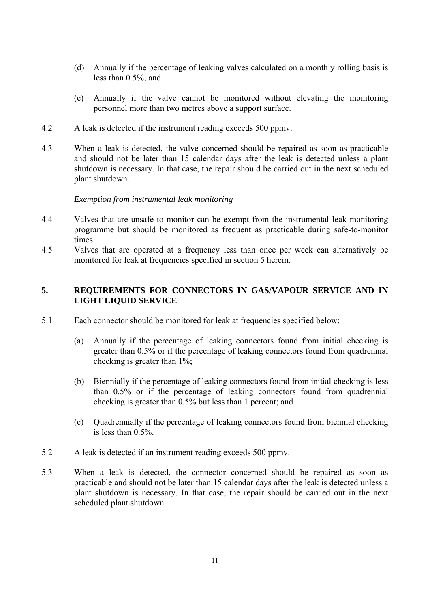- (d) Annually if the percentage of leaking valves calculated on a monthly rolling basis is less than 0.5%; and
- (e) Annually if the valve cannot be monitored without elevating the monitoring personnel more than two metres above a support surface.
- 4.2 A leak is detected if the instrument reading exceeds 500 ppmv.
- 4.3 When a leak is detected, the valve concerned should be repaired as soon as practicable and should not be later than 15 calendar days after the leak is detected unless a plant shutdown is necessary. In that case, the repair should be carried out in the next scheduled plant shutdown.

#### *Exemption from instrumental leak monitoring*

- 4.4 Valves that are unsafe to monitor can be exempt from the instrumental leak monitoring programme but should be monitored as frequent as practicable during safe-to-monitor times.
- 4.5 Valves that are operated at a frequency less than once per week can alternatively be monitored for leak at frequencies specified in section 5 herein.

#### **5. REQUIREMENTS FOR CONNECTORS IN GAS/VAPOUR SERVICE AND IN LIGHT LIQUID SERVICE**

- 5.1 Each connector should be monitored for leak at frequencies specified below:
	- (a) Annually if the percentage of leaking connectors found from initial checking is greater than 0.5% or if the percentage of leaking connectors found from quadrennial checking is greater than 1%;
	- (b) Biennially if the percentage of leaking connectors found from initial checking is less than 0.5% or if the percentage of leaking connectors found from quadrennial checking is greater than 0.5% but less than 1 percent; and
	- (c) Quadrennially if the percentage of leaking connectors found from biennial checking is less than 0.5%.
- 5.2 A leak is detected if an instrument reading exceeds 500 ppmv.
- 5.3 When a leak is detected, the connector concerned should be repaired as soon as practicable and should not be later than 15 calendar days after the leak is detected unless a plant shutdown is necessary. In that case, the repair should be carried out in the next scheduled plant shutdown.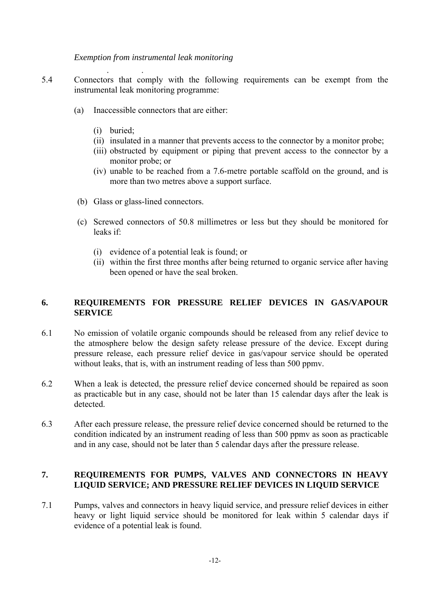*Exemption from instrumental leak monitoring*

 $\mathcal{L}(\mathcal{L}^{\text{max}})$  and  $\mathcal{L}^{\text{max}}$ 

- 5.4 Connectors that comply with the following requirements can be exempt from the instrumental leak monitoring programme:
	- (a) Inaccessible connectors that are either:
		- (i) buried;

- (ii) insulated in a manner that prevents access to the connector by a monitor probe;
- (iii) obstructed by equipment or piping that prevent access to the connector by a monitor probe; or
- (iv) unable to be reached from a 7.6-metre portable scaffold on the ground, and is more than two metres above a support surface.
- (b) Glass or glass-lined connectors.
- (c) Screwed connectors of 50.8 millimetres or less but they should be monitored for leaks if:
	- (i) evidence of a potential leak is found; or
	- (ii) within the first three months after being returned to organic service after having been opened or have the seal broken.

#### 6. **SERVICE 6. REQUIREMENTS FOR PRESSURE RELIEF DEVICES IN GAS/VAPOUR**

- 6.1 No emission of volatile organic compounds should be released from any relief device to the atmosphere below the design safety release pressure of the device. Except during pressure release, each pressure relief device in gas/vapour service should be operated without leaks, that is, with an instrument reading of less than 500 ppmy.
- 6.2 When a leak is detected, the pressure relief device concerned should be repaired as soon as practicable but in any case, should not be later than 15 calendar days after the leak is detected.
- 6.3 After each pressure release, the pressure relief device concerned should be returned to the condition indicated by an instrument reading of less than 500 ppmv as soon as practicable and in any case, should not be later than 5 calendar days after the pressure release.

#### **7. REQUIREMENTS FOR PUMPS, VALVES AND CONNECTORS IN HEAVY LIQUID SERVICE; AND PRESSURE RELIEF DEVICES IN LIQUID SERVICE**

7.1 Pumps, valves and connectors in heavy liquid service, and pressure relief devices in either heavy or light liquid service should be monitored for leak within 5 calendar days if evidence of a potential leak is found.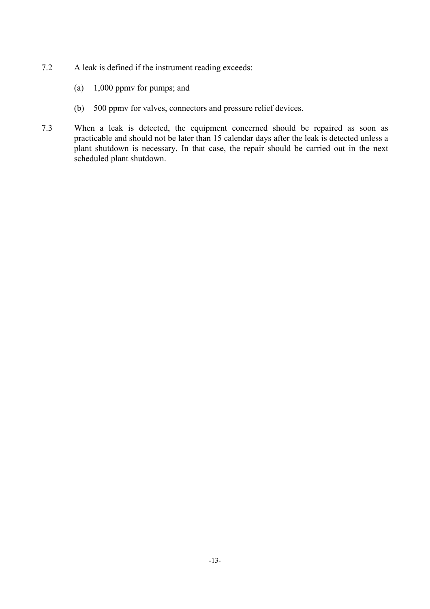- 7.2 A leak is defined if the instrument reading exceeds:
	- (a) 1,000 ppmv for pumps; and
	- (b) 500 ppmv for valves, connectors and pressure relief devices.
- 7.3 When a leak is detected, the equipment concerned should be repaired as soon as practicable and should not be later than 15 calendar days after the leak is detected unless a plant shutdown is necessary. In that case, the repair should be carried out in the next scheduled plant shutdown.